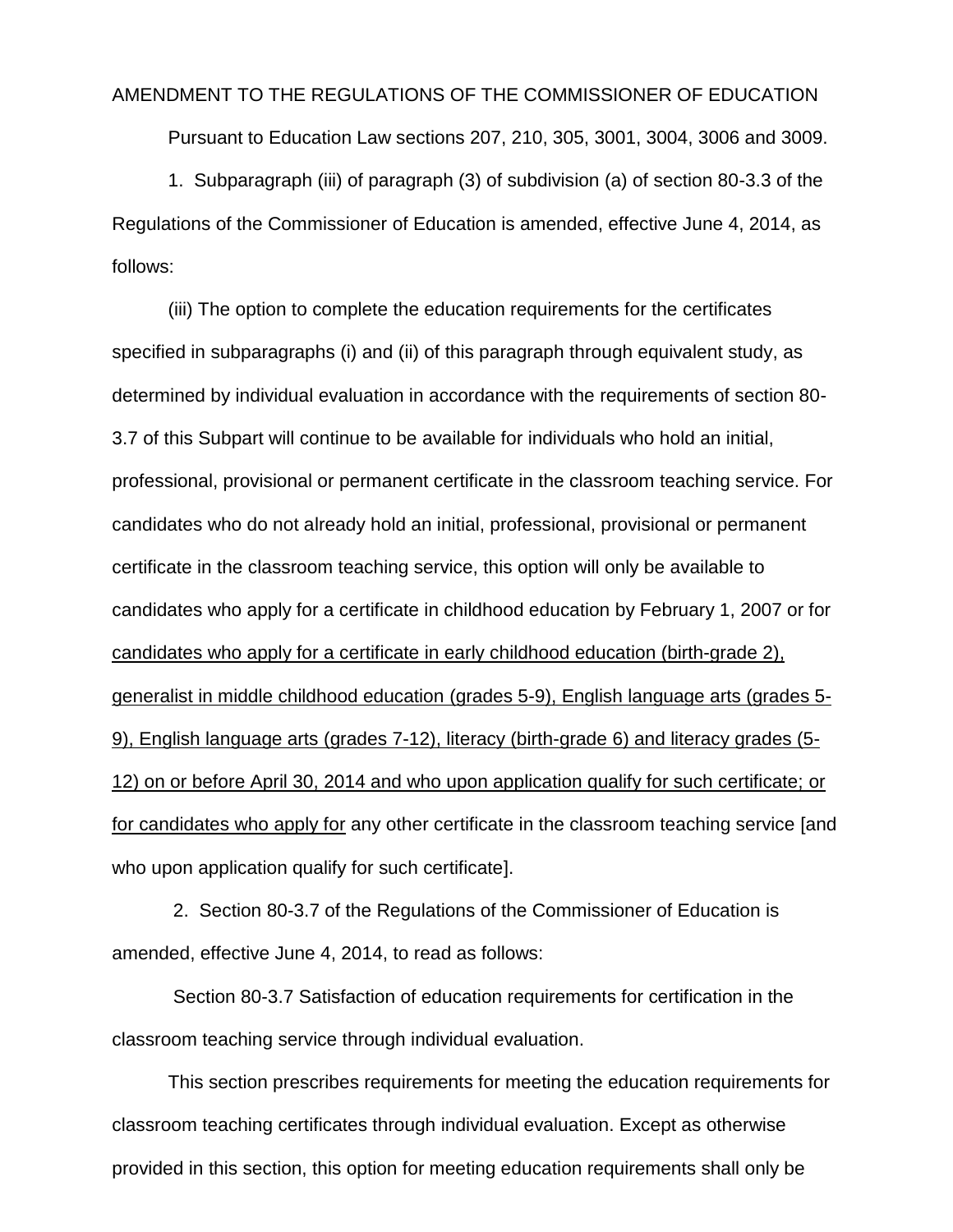## AMENDMENT TO THE REGULATIONS OF THE COMMISSIONER OF EDUCATION

Pursuant to Education Law sections 207, 210, 305, 3001, 3004, 3006 and 3009.

1. Subparagraph (iii) of paragraph (3) of subdivision (a) of section 80-3.3 of the Regulations of the Commissioner of Education is amended, effective June 4, 2014, as follows:

(iii) The option to complete the education requirements for the certificates specified in subparagraphs (i) and (ii) of this paragraph through equivalent study, as determined by individual evaluation in accordance with the requirements of section 80- 3.7 of this Subpart will continue to be available for individuals who hold an initial, professional, provisional or permanent certificate in the classroom teaching service. For candidates who do not already hold an initial, professional, provisional or permanent certificate in the classroom teaching service, this option will only be available to candidates who apply for a certificate in childhood education by February 1, 2007 or for candidates who apply for a certificate in early childhood education (birth-grade 2), generalist in middle childhood education (grades 5-9), English language arts (grades 5- 9), English language arts (grades 7-12), literacy (birth-grade 6) and literacy grades (5- 12) on or before April 30, 2014 and who upon application qualify for such certificate; or for candidates who apply for any other certificate in the classroom teaching service [and who upon application qualify for such certificate].

2. Section 80-3.7 of the Regulations of the Commissioner of Education is amended, effective June 4, 2014, to read as follows:

Section 80-3.7 Satisfaction of education requirements for certification in the classroom teaching service through individual evaluation.

This section prescribes requirements for meeting the education requirements for classroom teaching certificates through individual evaluation. Except as otherwise provided in this section, this option for meeting education requirements shall only be